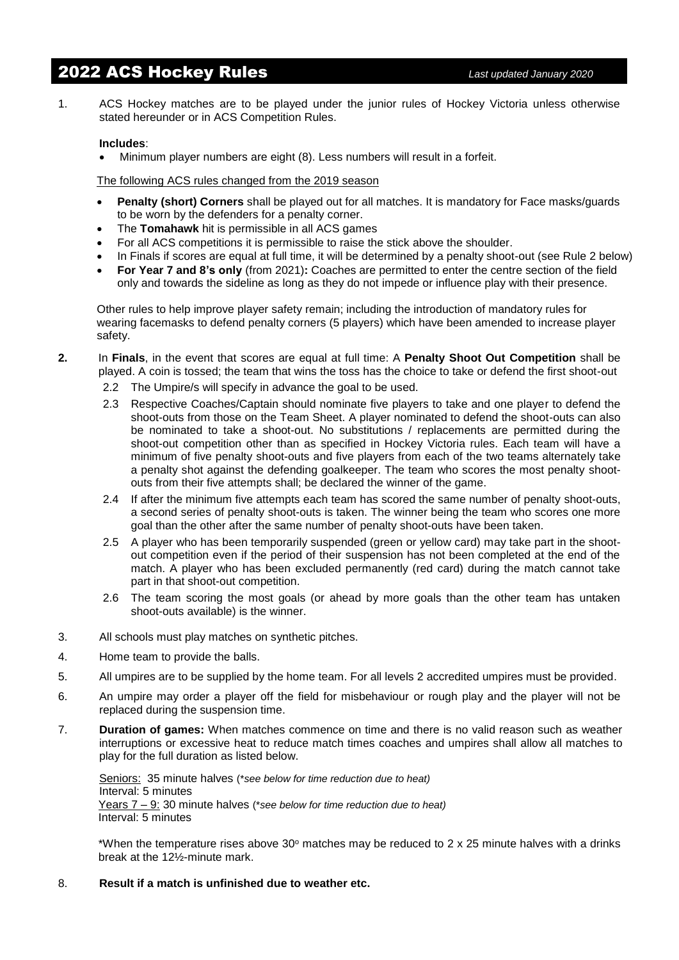## 2022 ACS Hockey Rules *Last updated January 2020*

1. ACS Hockey matches are to be played under the junior rules of Hockey Victoria unless otherwise stated hereunder or in ACS Competition Rules.

## **Includes**:

• Minimum player numbers are eight (8). Less numbers will result in a forfeit.

The following ACS rules changed from the 2019 season

- **Penalty (short) Corners** shall be played out for all matches. It is mandatory for Face masks/guards to be worn by the defenders for a penalty corner.
- The **Tomahawk** hit is permissible in all ACS games
- For all ACS competitions it is permissible to raise the stick above the shoulder.
- In Finals if scores are equal at full time, it will be determined by a penalty shoot-out (see Rule 2 below)
- **For Year 7 and 8's only** (from 2021)**:** Coaches are permitted to enter the centre section of the field only and towards the sideline as long as they do not impede or influence play with their presence.

Other rules to help improve player safety remain; including the introduction of mandatory rules for wearing facemasks to defend penalty corners (5 players) which have been amended to increase player safety.

- **2.** In **Finals**, in the event that scores are equal at full time: A **Penalty Shoot Out Competition** shall be played. A coin is tossed; the team that wins the toss has the choice to take or defend the first shoot-out
	- 2.2 The Umpire/s will specify in advance the goal to be used.
	- 2.3 Respective Coaches/Captain should nominate five players to take and one player to defend the shoot-outs from those on the Team Sheet. A player nominated to defend the shoot-outs can also be nominated to take a shoot-out. No substitutions / replacements are permitted during the shoot-out competition other than as specified in Hockey Victoria rules. Each team will have a minimum of five penalty shoot-outs and five players from each of the two teams alternately take a penalty shot against the defending goalkeeper. The team who scores the most penalty shootouts from their five attempts shall; be declared the winner of the game.
	- 2.4 If after the minimum five attempts each team has scored the same number of penalty shoot-outs, a second series of penalty shoot-outs is taken. The winner being the team who scores one more goal than the other after the same number of penalty shoot-outs have been taken.
	- 2.5 A player who has been temporarily suspended (green or yellow card) may take part in the shootout competition even if the period of their suspension has not been completed at the end of the match. A player who has been excluded permanently (red card) during the match cannot take part in that shoot-out competition.
	- 2.6 The team scoring the most goals (or ahead by more goals than the other team has untaken shoot-outs available) is the winner.
- 3. All schools must play matches on synthetic pitches.
- 4. Home team to provide the balls.
- 5. All umpires are to be supplied by the home team. For all levels 2 accredited umpires must be provided.
- 6. An umpire may order a player off the field for misbehaviour or rough play and the player will not be replaced during the suspension time.
- 7. **Duration of games:** When matches commence on time and there is no valid reason such as weather interruptions or excessive heat to reduce match times coaches and umpires shall allow all matches to play for the full duration as listed below.

Seniors: 35 minute halves (\**see below for time reduction due to heat)* Interval: 5 minutes Years 7 – 9: 30 minute halves (\**see below for time reduction due to heat)* Interval: 5 minutes

\*When the temperature rises above  $30^{\circ}$  matches may be reduced to 2 x 25 minute halves with a drinks break at the 12½-minute mark.

8. **Result if a match is unfinished due to weather etc.**